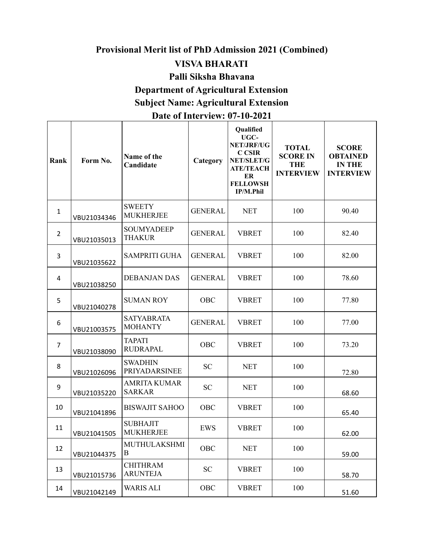# **Provisional Merit list of PhD Admission 2021 (Combined)**

### **VISVA BHARATI**

#### **Palli Siksha Bhavana**

# **Department of Agricultural Extension**

# **Subject Name: Agricultural Extension**

#### **Date of Interview: 07-10-2021**

| Rank           | Form No.    | Name of the<br>Candidate             | Category       | Qualified<br>UGC-<br><b>NET/JRF/UG</b><br><b>C CSIR</b><br>NET/SLET/G<br><b>ATE/TEACH</b><br>ER<br><b>FELLOWSH</b><br>IP/M.Phil | <b>TOTAL</b><br><b>SCORE IN</b><br><b>THE</b><br><b>INTERVIEW</b> | <b>SCORE</b><br><b>OBTAINED</b><br><b>IN THE</b><br><b>INTERVIEW</b> |
|----------------|-------------|--------------------------------------|----------------|---------------------------------------------------------------------------------------------------------------------------------|-------------------------------------------------------------------|----------------------------------------------------------------------|
| $\mathbf{1}$   | VBU21034346 | <b>SWEETY</b><br><b>MUKHERJEE</b>    | <b>GENERAL</b> | <b>NET</b>                                                                                                                      | 100                                                               | 90.40                                                                |
| $\overline{2}$ | VBU21035013 | <b>SOUMYADEEP</b><br><b>THAKUR</b>   | <b>GENERAL</b> | <b>VBRET</b>                                                                                                                    | 100                                                               | 82.40                                                                |
| 3              | VBU21035622 | <b>SAMPRITI GUHA</b>                 | <b>GENERAL</b> | <b>VBRET</b>                                                                                                                    | 100                                                               | 82.00                                                                |
| 4              | VBU21038250 | <b>DEBANJAN DAS</b>                  | <b>GENERAL</b> | <b>VBRET</b>                                                                                                                    | 100                                                               | 78.60                                                                |
| 5              | VBU21040278 | <b>SUMAN ROY</b>                     | <b>OBC</b>     | <b>VBRET</b>                                                                                                                    | 100                                                               | 77.80                                                                |
| 6              | VBU21003575 | <b>SATYABRATA</b><br><b>MOHANTY</b>  | <b>GENERAL</b> | <b>VBRET</b>                                                                                                                    | 100                                                               | 77.00                                                                |
| 7              | VBU21038090 | <b>TAPATI</b><br><b>RUDRAPAL</b>     | <b>OBC</b>     | <b>VBRET</b>                                                                                                                    | 100                                                               | 73.20                                                                |
| 8              | VBU21026096 | <b>SWADHIN</b><br>PRIYADARSINEE      | <b>SC</b>      | <b>NET</b>                                                                                                                      | 100                                                               | 72.80                                                                |
| 9              | VBU21035220 | <b>AMRITA KUMAR</b><br><b>SARKAR</b> | <b>SC</b>      | <b>NET</b>                                                                                                                      | 100                                                               | 68.60                                                                |
| 10             | VBU21041896 | <b>BISWAJIT SAHOO</b>                | <b>OBC</b>     | <b>VBRET</b>                                                                                                                    | 100                                                               | 65.40                                                                |
| 11             | VBU21041505 | <b>SUBHAJIT</b><br><b>MUKHERJEE</b>  | <b>EWS</b>     | <b>VBRET</b>                                                                                                                    | 100                                                               | 62.00                                                                |
| 12             | VBU21044375 | MUTHULAKSHMI<br>Β                    | <b>OBC</b>     | <b>NET</b>                                                                                                                      | 100                                                               | 59.00                                                                |
| 13             | VBU21015736 | <b>CHITHRAM</b><br><b>ARUNTEJA</b>   | SC             | <b>VBRET</b>                                                                                                                    | 100                                                               | 58.70                                                                |
| 14             | VBU21042149 | <b>WARIS ALI</b>                     | OBC            | <b>VBRET</b>                                                                                                                    | 100                                                               | 51.60                                                                |